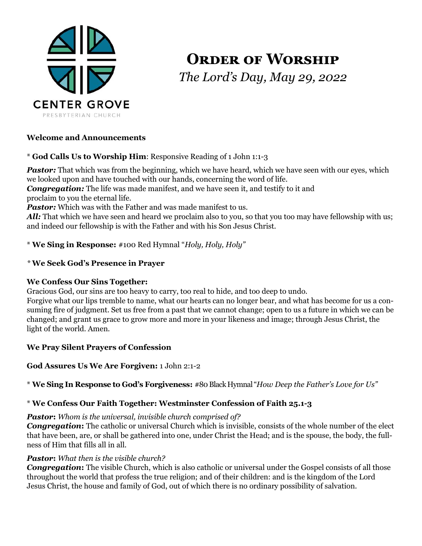

# **ORDER OF WORSHIP** *The Lord's Day, May 29, 2022*

## **Welcome and Announcements**

## \* **God Calls Us to Worship Him**: Responsive Reading of 1 John 1:1-3

**Pastor:** That which was from the beginning, which we have heard, which we have seen with our eyes, which we looked upon and have touched with our hands, concerning the word of life.

*Congregation:* The life was made manifest, and we have seen it, and testify to it and proclaim to you the eternal life.

Pastor: Which was with the Father and was made manifest to us.

All: That which we have seen and heard we proclaim also to you, so that you too may have fellowship with us; and indeed our fellowship is with the Father and with his Son Jesus Christ.

## \* **We Sing in Response:** #100 Red Hymnal "*Holy, Holy, Holy"*

## *\** **We Seek God's Presence in Prayer**

## **We Confess Our Sins Together:**

Gracious God, our sins are too heavy to carry, too real to hide, and too deep to undo.

Forgive what our lips tremble to name, what our hearts can no longer bear, and what has become for us a consuming fire of judgment. Set us free from a past that we cannot change; open to us a future in which we can be changed; and grant us grace to grow more and more in your likeness and image; through Jesus Christ, the light of the world. Amen.

## **We Pray Silent Prayers of Confession**

## **God Assures Us We Are Forgiven:** 1 John 2:1-2

\* **We Sing In Response to God's Forgiveness:** #80 Black Hymnal "*How Deep the Father's Love for Us"*

## \* **We Confess Our Faith Together: Westminster Confession of Faith 25.1-3**

#### *Pastor***:** *Whom is the universal, invisible church comprised of?*

*Congregation***:** The catholic or universal Church which is invisible, consists of the whole number of the elect that have been, are, or shall be gathered into one, under Christ the Head; and is the spouse, the body, the fullness of Him that fills all in all.

## *Pastor***:** *What then is the visible church?*

**Congregation:** The visible Church, which is also catholic or universal under the Gospel consists of all those throughout the world that profess the true religion; and of their children: and is the kingdom of the Lord Jesus Christ, the house and family of God, out of which there is no ordinary possibility of salvation.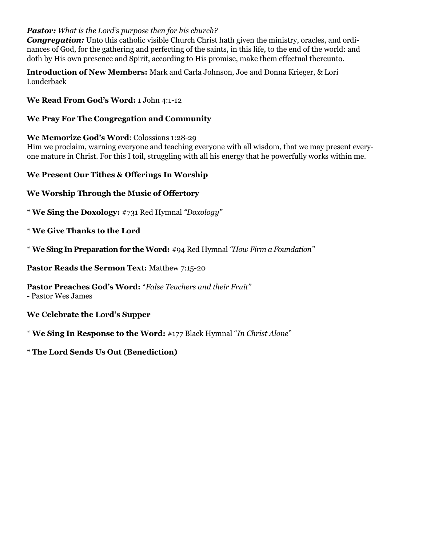## *Pastor: What is the Lord's purpose then for his church?*

**Congregation:** Unto this catholic visible Church Christ hath given the ministry, oracles, and ordinances of God, for the gathering and perfecting of the saints, in this life, to the end of the world: and doth by His own presence and Spirit, according to His promise, make them effectual thereunto.

**Introduction of New Members:** Mark and Carla Johnson, Joe and Donna Krieger, & Lori Louderback

**We Read From God's Word:** 1 John 4:1-12

## **We Pray For The Congregation and Community**

**We Memorize God's Word**: Colossians 1:28-29

Him we proclaim, warning everyone and teaching everyone with all wisdom, that we may present everyone mature in Christ. For this I toil, struggling with all his energy that he powerfully works within me.

### **We Present Our Tithes & Offerings In Worship**

**We Worship Through the Music of Offertory** 

\* **We Sing the Doxology:** #731 Red Hymnal *"Doxology"*

\* **We Give Thanks to the Lord**

\* **We Sing In Preparation for the Word:** #94 Red Hymnal *"How Firm a Foundation"*

**Pastor Reads the Sermon Text:** Matthew 7:15-20

**Pastor Preaches God's Word:** "*False Teachers and their Fruit"* 

*-* Pastor Wes James

**We Celebrate the Lord's Supper** 

\* **We Sing In Response to the Word:** #177 Black Hymnal "*In Christ Alone*"

\* **The Lord Sends Us Out (Benediction)**